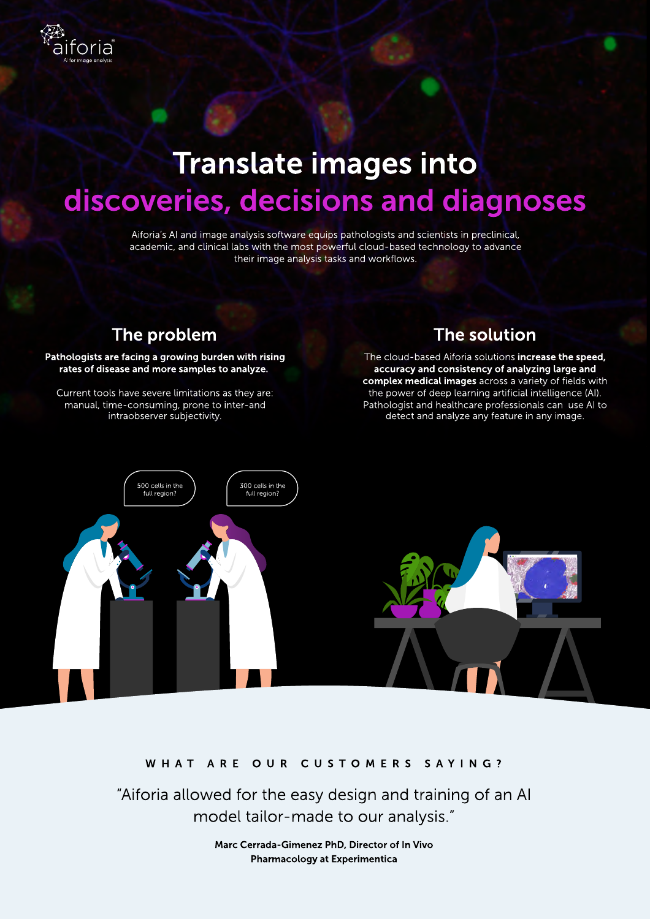# discoveries, decisions and diagnoses Translate images into

Aiforia's AI and image analysis software equips pathologists and scientists in preclinical, academic, and clinical labs with the most powerful cloud-based technology to advance their image analysis tasks and workflows.

### The problem

วrıล

#### Pathologists are facing a growing burden with rising rates of disease and more samples to analyze.

Current tools have severe limitations as they are: manual, time-consuming, prone to inter-and intraobserver subjectivity.

### The solution

The cloud-based Aiforia solutions increase the speed, accuracy and consistency of analyzing large and complex medical images across a variety of fields with the power of deep learning artificial intelligence (AI). Pathologist and healthcare professionals can
use AI to detect and analyze any feature in any image.



### W H A T A R E O U R C U S T O M E R S S A Y I N G ?

"Aiforia allowed for the easy design and training of an AI model tailor-made to our analysis."

> Marc Cerrada-Gimenez PhD, Director of In Vivo Pharmacology at Experimentica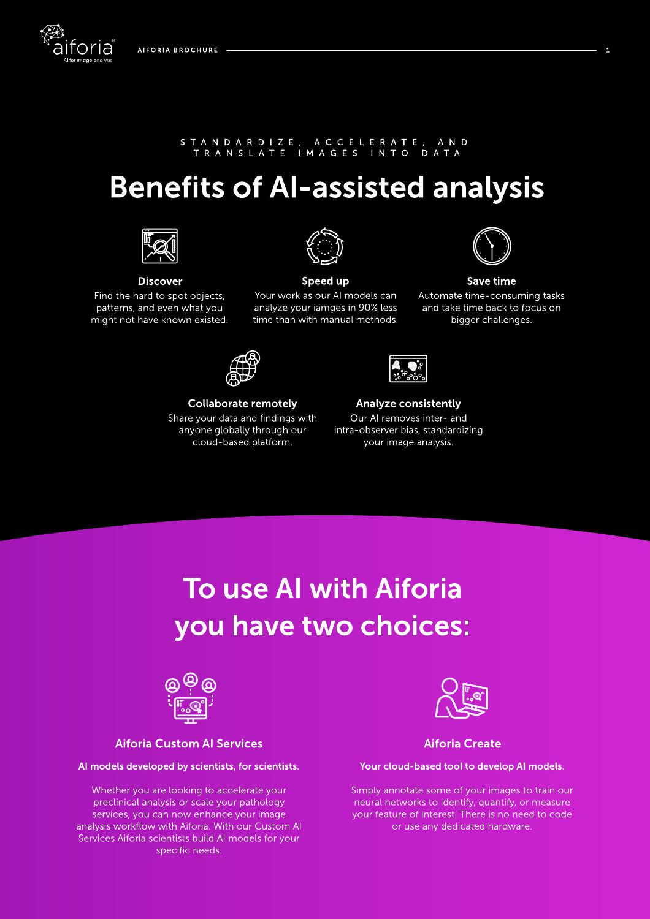### S T A N D A R D I Z E , A C C E L E R A T E , A N D T R A N S L A T E I M A G E S I N T O D A T A

# Benefits of AI-assisted analysis



#### **Discover**

Find the hard to spot objects, patterns, and even what you might not have known existed.



### Speed up

Your work as our AI models can analyze your iamges in 90% less time than with manual methods.



Collaborate remotely

Share your data and findings with anyone globally through our cloud-based platform.

Analyze consistently Our AI removes inter- and intra-observer bias, standardizing your image analysis.

# To use AI with Aiforia you have two choices:



### Aiforia Custom AI Services

### AI models developed by scientists, for scientists.

Whether you are looking to accelerate your preclinical analysis or scale your pathology services, you can now enhance your image analysis workflow with Aiforia. With our Custom AI Services Aiforia scientists build AI models for your specific needs.



### Aiforia Create

#### Your cloud-based tool to develop AI models.

Simply annotate some of your images to train our neural networks to identify, quantify, or measure your feature of interest. There is no need to code or use any dedicated hardware.



### Save time

Automate time-consuming tasks and take time back to focus on bigger challenges.

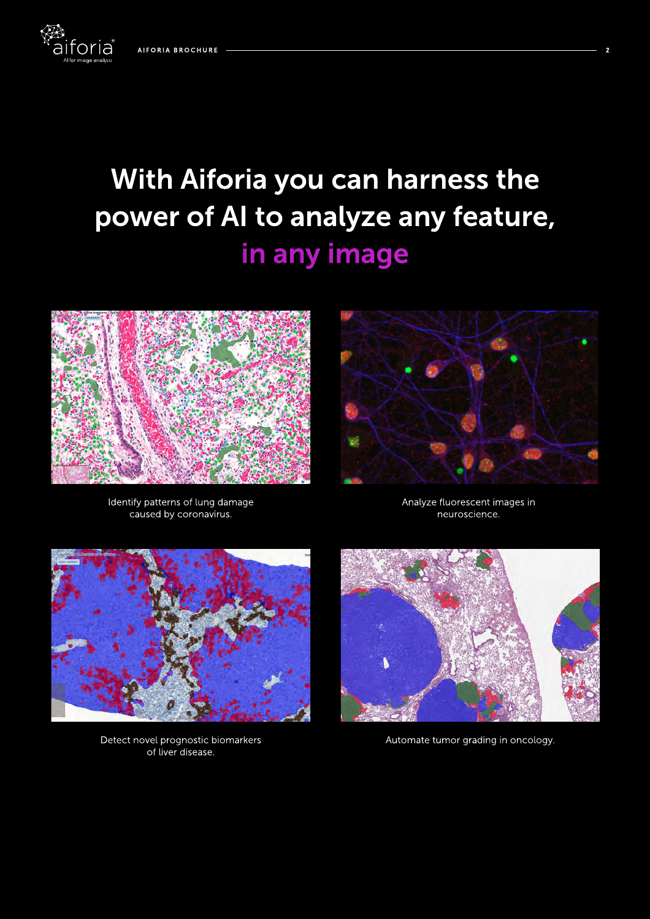foria

# in any image With Aiforia you can harness the power of AI to analyze any feature,



Identify patterns of lung damage caused by coronavirus.



Analyze fluorescent images in neuroscience.



Detect novel prognostic biomarkers of liver disease.



Automate tumor grading in oncology.